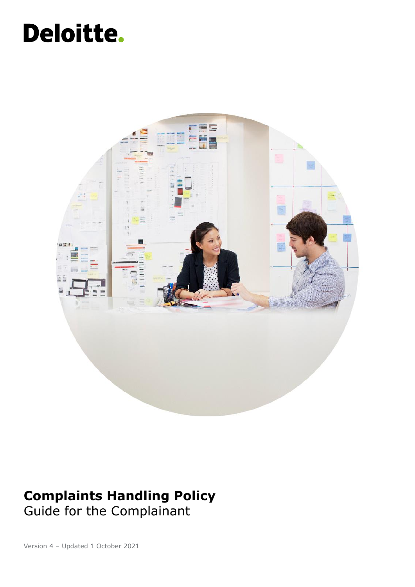# Deloitte.



### **Complaints Handling Policy** Guide for the Complainant

Version 4 – Updated 1 October 2021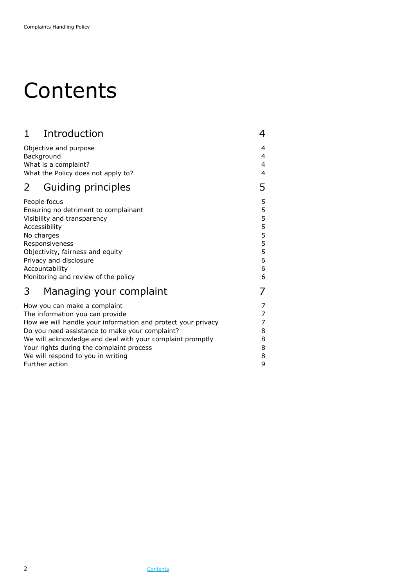### <span id="page-1-0"></span>**Contents**

| Introduction<br>$\mathbf 1$                                  | 4 |
|--------------------------------------------------------------|---|
| Objective and purpose                                        | 4 |
| Background                                                   | 4 |
| What is a complaint?                                         | 4 |
| What the Policy does not apply to?                           | 4 |
| Guiding principles<br>2                                      | 5 |
| People focus                                                 | 5 |
| Ensuring no detriment to complainant                         | 5 |
| Visibility and transparency                                  | 5 |
| Accessibility                                                | 5 |
| No charges                                                   | 5 |
| Responsiveness                                               | 5 |
| Objectivity, fairness and equity                             | 5 |
| Privacy and disclosure                                       | 6 |
| Accountability                                               | 6 |
| Monitoring and review of the policy                          | 6 |
| Managing your complaint<br>3                                 |   |
| How you can make a complaint                                 | 7 |
| The information you can provide                              | 7 |
| How we will handle your information and protect your privacy | 7 |
| Do you need assistance to make your complaint?               | 8 |
| We will acknowledge and deal with your complaint promptly    | 8 |
| Your rights during the complaint process                     | 8 |
| We will respond to you in writing                            | 8 |
| Further action                                               | 9 |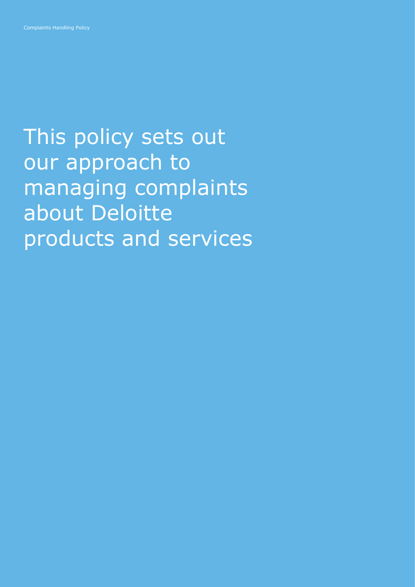This policy sets out our approach to managing complaints about Deloitte products and services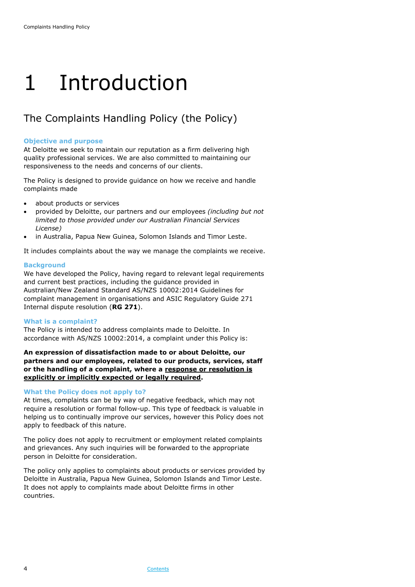## <span id="page-3-0"></span>1 Introduction

### The Complaints Handling Policy (the Policy)

#### <span id="page-3-1"></span>**Objective and purpose**

At Deloitte we seek to maintain our reputation as a firm delivering high quality professional services. We are also committed to maintaining our responsiveness to the needs and concerns of our clients.

The Policy is designed to provide guidance on how we receive and handle complaints made

- about products or services
- provided by Deloitte, our partners and our employees *(including but not limited to those provided under our Australian Financial Services License)*
- in Australia, Papua New Guinea, Solomon Islands and Timor Leste.

It includes complaints about the way we manage the complaints we receive.

#### <span id="page-3-2"></span>**Background**

We have developed the Policy, having regard to relevant legal requirements and current best practices, including the guidance provided in Australian/New Zealand Standard AS/NZS 10002:2014 Guidelines for complaint management in organisations and ASIC Regulatory Guide 271 Internal dispute resolution (**RG 271**).

#### <span id="page-3-3"></span>**What is a complaint?**

The Policy is intended to address complaints made to Deloitte. In accordance with AS/NZS 10002:2014, a complaint under this Policy is:

**An expression of dissatisfaction made to or about Deloitte, our partners and our employees, related to our products, services, staff or the handling of a complaint, where a response or resolution is explicitly or implicitly expected or legally required.**

#### <span id="page-3-4"></span>**What the Policy does not apply to?**

At times, complaints can be by way of negative feedback, which may not require a resolution or formal follow-up. This type of feedback is valuable in helping us to continually improve our services, however this Policy does not apply to feedback of this nature.

The policy does not apply to recruitment or employment related complaints and grievances. Any such inquiries will be forwarded to the appropriate person in Deloitte for consideration.

The policy only applies to complaints about products or services provided by Deloitte in Australia, Papua New Guinea, Solomon Islands and Timor Leste. It does not apply to complaints made about Deloitte firms in other countries.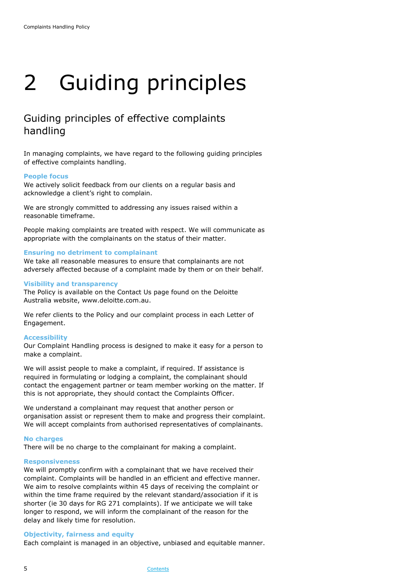# <span id="page-4-0"></span>2 Guiding principles

### Guiding principles of effective complaints handling

In managing complaints, we have regard to the following guiding principles of effective complaints handling.

#### <span id="page-4-1"></span>**People focus**

We actively solicit feedback from our clients on a regular basis and acknowledge a client's right to complain.

We are strongly committed to addressing any issues raised within a reasonable timeframe.

People making complaints are treated with respect. We will communicate as appropriate with the complainants on the status of their matter.

#### <span id="page-4-2"></span>**Ensuring no detriment to complainant**

We take all reasonable measures to ensure that complainants are not adversely affected because of a complaint made by them or on their behalf.

#### <span id="page-4-3"></span>**Visibility and transparency**

The Policy is available on the Contact Us page found on the Deloitte Australia website, www.deloitte.com.au.

We refer clients to the Policy and our complaint process in each Letter of Engagement.

#### <span id="page-4-4"></span>**Accessibility**

Our Complaint Handling process is designed to make it easy for a person to make a complaint.

We will assist people to make a complaint, if required. If assistance is required in formulating or lodging a complaint, the complainant should contact the engagement partner or team member working on the matter. If this is not appropriate, they should contact the Complaints Officer.

We understand a complainant may request that another person or organisation assist or represent them to make and progress their complaint. We will accept complaints from authorised representatives of complainants.

#### <span id="page-4-5"></span>**No charges**

There will be no charge to the complainant for making a complaint.

#### <span id="page-4-6"></span>**Responsiveness**

We will promptly confirm with a complainant that we have received their complaint. Complaints will be handled in an efficient and effective manner. We aim to resolve complaints within 45 days of receiving the complaint or within the time frame required by the relevant standard/association if it is shorter (ie 30 days for RG 271 complaints). If we anticipate we will take longer to respond, we will inform the complainant of the reason for the delay and likely time for resolution.

#### <span id="page-4-7"></span>**Objectivity, fairness and equity**

Each complaint is managed in an objective, unbiased and equitable manner.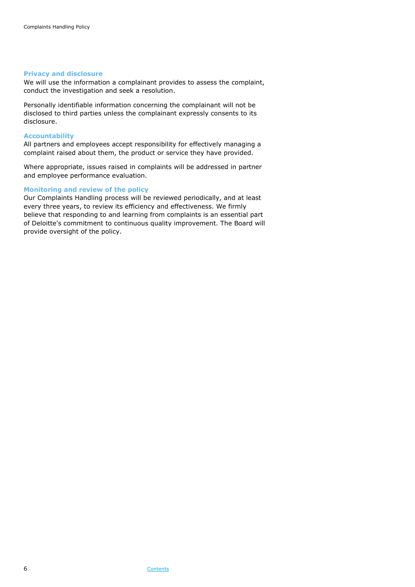#### <span id="page-5-0"></span>**Privacy and disclosure**

We will use the information a complainant provides to assess the complaint, conduct the investigation and seek a resolution.

Personally identifiable information concerning the complainant will not be disclosed to third parties unless the complainant expressly consents to its disclosure.

#### <span id="page-5-1"></span>**Accountability**

All partners and employees accept responsibility for effectively managing a complaint raised about them, the product or service they have provided.

Where appropriate, issues raised in complaints will be addressed in partner and employee performance evaluation.

#### <span id="page-5-2"></span>**Monitoring and review of the policy**

Our Complaints Handling process will be reviewed periodically, and at least every three years, to review its efficiency and effectiveness. We firmly believe that responding to and learning from complaints is an essential part of Deloitte's commitment to continuous quality improvement. The Board will provide oversight of the policy.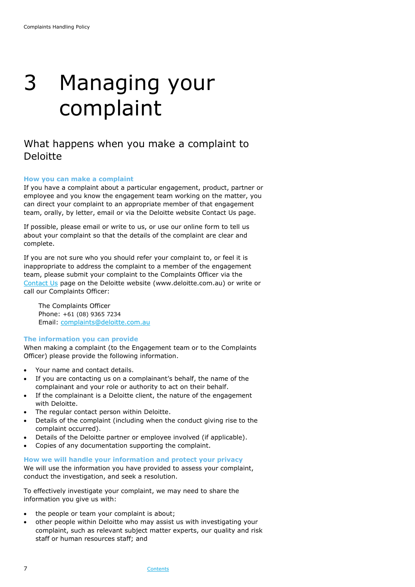## <span id="page-6-0"></span>3 Managing your complaint

### What happens when you make a complaint to Deloitte

#### <span id="page-6-1"></span>**How you can make a complaint**

If you have a complaint about a particular engagement, product, partner or employee and you know the engagement team working on the matter, you can direct your complaint to an appropriate member of that engagement team, orally, by letter, email or via the Deloitte website Contact Us page.

If possible, please email or write to us, or use our online form to tell us about your complaint so that the details of the complaint are clear and complete.

If you are not sure who you should refer your complaint to, or feel it is inappropriate to address the complaint to a member of the engagement team, please submit your complaint to the Complaints Officer via the [Contact Us](https://www2.deloitte.com/au/en/footerlinks/contact-us.html) page on the Deloitte website (www.deloitte.com.au) or write or call our Complaints Officer:

The Complaints Officer Phone: +61 (08) 9365 7234 Email: [complaints@deloitte.com.au](mailto:complaints@deloitte.com.au)

#### <span id="page-6-2"></span>**The information you can provide**

When making a complaint (to the Engagement team or to the Complaints Officer) please provide the following information.

- Your name and contact details.
- If you are contacting us on a complainant's behalf, the name of the complainant and your role or authority to act on their behalf.
- If the complainant is a Deloitte client, the nature of the engagement with Deloitte.
- The regular contact person within Deloitte.
- Details of the complaint (including when the conduct giving rise to the complaint occurred).
- Details of the Deloitte partner or employee involved (if applicable).
- Copies of any documentation supporting the complaint.

#### <span id="page-6-3"></span>**How we will handle your information and protect your privacy**

We will use the information you have provided to assess your complaint, conduct the investigation, and seek a resolution.

To effectively investigate your complaint, we may need to share the information you give us with:

- the people or team your complaint is about;
- other people within Deloitte who may assist us with investigating your complaint, such as relevant subject matter experts, our quality and risk staff or human resources staff; and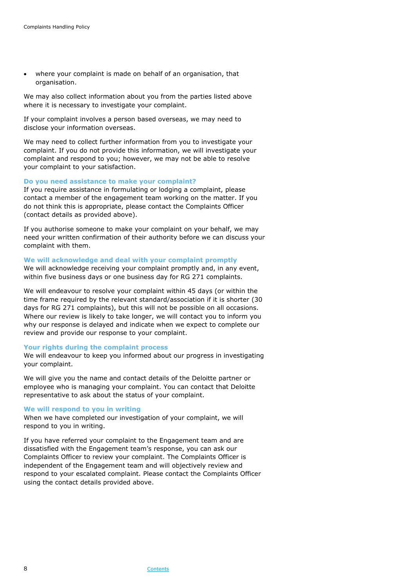• where your complaint is made on behalf of an organisation, that organisation.

We may also collect information about you from the parties listed above where it is necessary to investigate your complaint.

If your complaint involves a person based overseas, we may need to disclose your information overseas.

We may need to collect further information from you to investigate your complaint. If you do not provide this information, we will investigate your complaint and respond to you; however, we may not be able to resolve your complaint to your satisfaction.

#### <span id="page-7-0"></span>**Do you need assistance to make your complaint?**

If you require assistance in formulating or lodging a complaint, please contact a member of the engagement team working on the matter. If you do not think this is appropriate, please contact the Complaints Officer (contact details as provided above).

If you authorise someone to make your complaint on your behalf, we may need your written confirmation of their authority before we can discuss your complaint with them.

#### <span id="page-7-1"></span>**We will acknowledge and deal with your complaint promptly**

We will acknowledge receiving your complaint promptly and, in any event, within five business days or one business day for RG 271 complaints.

We will endeavour to resolve your complaint within 45 days (or within the time frame required by the relevant standard/association if it is shorter (30 days for RG 271 complaints), but this will not be possible on all occasions. Where our review is likely to take longer, we will contact you to inform you why our response is delayed and indicate when we expect to complete our review and provide our response to your complaint.

#### <span id="page-7-2"></span>**Your rights during the complaint process**

We will endeavour to keep you informed about our progress in investigating your complaint.

We will give you the name and contact details of the Deloitte partner or employee who is managing your complaint. You can contact that Deloitte representative to ask about the status of your complaint.

#### <span id="page-7-3"></span>**We will respond to you in writing**

When we have completed our investigation of your complaint, we will respond to you in writing.

If you have referred your complaint to the Engagement team and are dissatisfied with the Engagement team's response, you can ask our Complaints Officer to review your complaint. The Complaints Officer is independent of the Engagement team and will objectively review and respond to your escalated complaint. Please contact the Complaints Officer using the contact details provided above.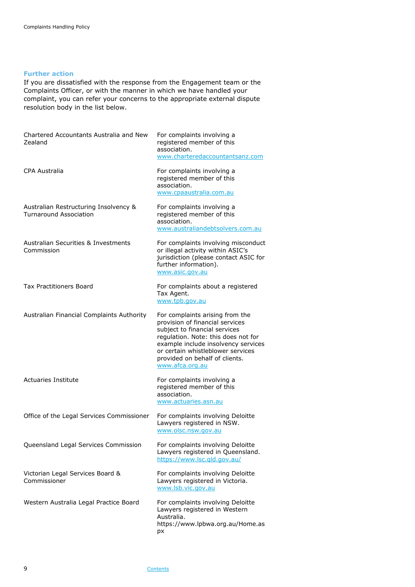#### <span id="page-8-0"></span>**Further action**

If you are dissatisfied with the response from the Engagement team or the Complaints Officer, or with the manner in which we have handled your complaint, you can refer your concerns to the appropriate external dispute resolution body in the list below.

| Chartered Accountants Australia and New<br>Zealand                     | For complaints involving a<br>registered member of this<br>association.<br>www.charteredaccountantsanz.com                                                                                                                                                                  |
|------------------------------------------------------------------------|-----------------------------------------------------------------------------------------------------------------------------------------------------------------------------------------------------------------------------------------------------------------------------|
| <b>CPA Australia</b>                                                   | For complaints involving a<br>registered member of this<br>association.<br>www.cpaaustralia.com.au                                                                                                                                                                          |
| Australian Restructuring Insolvency &<br><b>Turnaround Association</b> | For complaints involving a<br>registered member of this<br>association.<br>www.australiandebtsolvers.com.au                                                                                                                                                                 |
| <b>Australian Securities &amp; Investments</b><br>Commission           | For complaints involving misconduct<br>or illegal activity within ASIC's<br>jurisdiction (please contact ASIC for<br>further information).<br>www.asic.gov.au                                                                                                               |
| <b>Tax Practitioners Board</b>                                         | For complaints about a registered<br>Tax Agent.<br>www.tpb.gov.au                                                                                                                                                                                                           |
| Australian Financial Complaints Authority                              | For complaints arising from the<br>provision of financial services<br>subject to financial services<br>regulation. Note: this does not for<br>example include insolvency services<br>or certain whistleblower services<br>provided on behalf of clients.<br>www.afca.org.au |
| <b>Actuaries Institute</b>                                             | For complaints involving a<br>registered member of this<br>association.<br>www.actuaries.asn.au                                                                                                                                                                             |
| Office of the Legal Services Commissioner                              | For complaints involving Deloitte<br>Lawyers registered in NSW.<br>www.olsc.nsw.gov.au                                                                                                                                                                                      |
| Queensland Legal Services Commission                                   | For complaints involving Deloitte<br>Lawyers registered in Queensland.<br>https://www.lsc.gld.gov.au/                                                                                                                                                                       |
| Victorian Legal Services Board &<br>Commissioner                       | For complaints involving Deloitte<br>Lawyers registered in Victoria.<br>www.lsb.vic.gov.au                                                                                                                                                                                  |
| Western Australia Legal Practice Board                                 | For complaints involving Deloitte<br>Lawyers registered in Western<br>Australia.<br>https://www.lpbwa.org.au/Home.as<br>рx                                                                                                                                                  |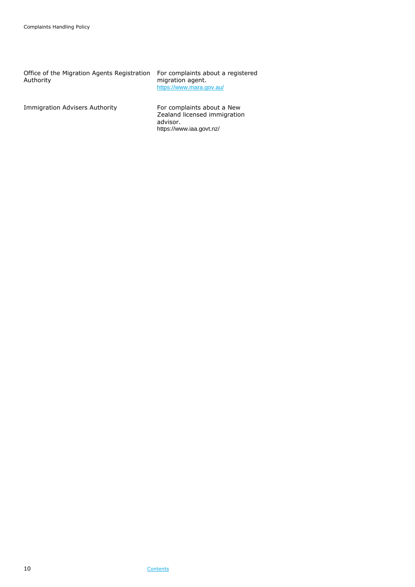Office of the Migration Agents Registration Authority

For complaints about a registered migration agent. <https://www.mara.gov.au/>

Immigration Advisers Authority For complaints about a New

Zealand licensed immigration advisor. https://www.iaa.govt.nz/